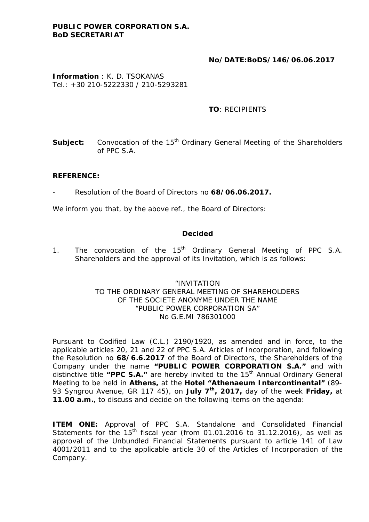### **No/DATE:BoDS/146/06.06.2017**

# **Information** : K. D. TSOKANAS Tel.: +30 210-5222330 / 210-5293281

# **TO**: RECIPIENTS

Subject: Convocation of the 15<sup>th</sup> Ordinary General Meeting of the Shareholders of PPC S.A.

**REFERENCE:** 

- Resolution of the Board of Directors no **68/06.06.2017.** 

We inform you that, by the above ref., the Board of Directors:

### **Decided**

1. The convocation of the 15<sup>th</sup> Ordinary General Meeting of PPC S.A. Shareholders and the approval of its Invitation, which is as follows:

## "INVITATION TO THE ORDINARY GENERAL MEETING OF SHAREHOLDERS OF THE SOCIETE ANONYME UNDER THE NAME "PUBLIC POWER CORPORATION SA" No G.E.MI 786301000

Pursuant to Codified Law (C.L.) 2190/1920, as amended and in force, to the applicable articles 20, 21 and 22 of PPC S.A. Articles of Incorporation, and following the Resolution no **68/6.6.2017** of the Board of Directors, the Shareholders of the Company under the name **"PUBLIC POWER CORPORATION S.A."** and with distinctive title "PPC S.A." are hereby invited to the 15<sup>th</sup> Annual Ordinary General Meeting to be held in **Athens,** at the **Hotel "Athenaeum Intercontinental"** (89- 93 Syngrou Avenue, GR 117 45), on **July 7th, 2017,** day of the week **Friday,** at **11.00 a.m.**, to discuss and decide on the following items on the agenda:

**ITEM ONE:** Approval of PPC S.A. Standalone and Consolidated Financial Statements for the  $15<sup>th</sup>$  fiscal year (from 01.01.2016 to 31.12.2016), as well as approval of the Unbundled Financial Statements pursuant to article 141 of Law 4001/2011 and to the applicable article 30 of the Articles of Incorporation of the Company.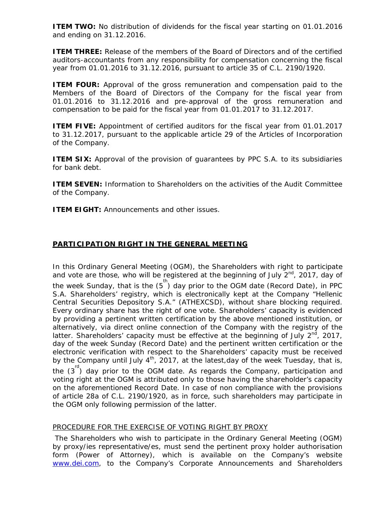**ITEM TWO:** No distribution of dividends for the fiscal year starting on 01.01.2016 and ending on 31.12.2016.

**ITEM THREE:** Release of the members of the Board of Directors and of the certified auditors-accountants from any responsibility for compensation concerning the fiscal year from 01.01.2016 to 31.12.2016, pursuant to article 35 of C.L. 2190/1920.

**ITEM FOUR:** Approval of the gross remuneration and compensation paid to the Members of the Board of Directors of the Company for the fiscal year from 01.01.2016 to 31.12.2016 and pre-approval of the gross remuneration and compensation to be paid for the fiscal year from 01.01.2017 to 31.12.2017.

**ITEM FIVE:** Appointment of certified auditors for the fiscal year from 01.01.2017 to 31.12.2017, pursuant to the applicable article 29 of the Articles of Incorporation of the Company.

**ITEM SIX:** Approval of the provision of guarantees by PPC S.A. to its subsidiaries for bank debt.

**ITEM SEVEN:** Information to Shareholders on the activities of the Audit Committee of the Company.

**ITEM EIGHT:** Announcements and other issues.

# **PARTICIPATION RIGHT IN THE GENERAL MEETING**

In this Ordinary General Meeting (OGM), the Shareholders with right to participate and vote are those, who will be registered at the beginning of July 2<sup>nd</sup>, 2017, day of the week Sunday, that is the  $(5^{\text{th}})$  day prior to the OGM date (Record Date), in PPC S.A. Shareholders' registry, which is electronically kept at the Company "Hellenic Central Securities Depository S.A." (ATHEXCSD), without share blocking required. Every ordinary share has the right of one vote. Shareholders' capacity is evidenced by providing a pertinent written certification by the above mentioned institution, or alternatively, via direct online connection of the Company with the registry of the latter. Shareholders' capacity must be effective at the beginning of July  $2^{nd}$ , 2017, day of the week Sunday (Record Date) and the pertinent written certification or the electronic verification with respect to the Shareholders' capacity must be received by the Company until July  $4<sup>th</sup>$ , 2017, at the latest,day of the week Tuesday, that is, the  $(3^{\degree})$  day prior to the OGM date. As regards the Company, participation and voting right at the OGM is attributed only to those having the shareholder's capacity on the aforementioned Record Date. In case of non compliance with the provisions of article 28a of C.L. 2190/1920, as in force, such shareholders may participate in

#### PROCEDURE FOR THE EXERCISE OF VOTING RIGHT BY PROXY

the OGM only following permission of the latter.

 The Shareholders who wish to participate in the Ordinary General Meeting (OGM) by proxy/ies representative/es, must send the pertinent proxy holder authorisation form (Power of Attorney), which is available on the Company's website [www.dei.com,](http://www.dei.com/) to the Company's Corporate Announcements and Shareholders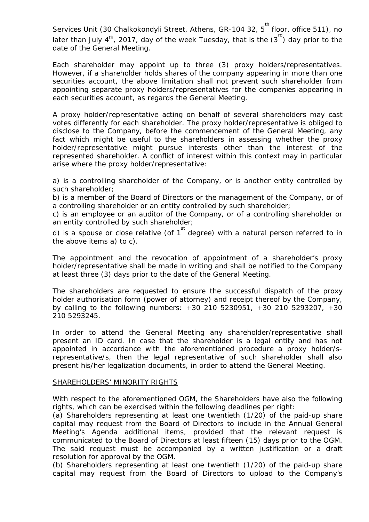Services Unit (30 Chalkokondyli Street, Athens, GR-104 32, 5<sup>th</sup> floor, office 511), no later than July 4<sup>th</sup>, 2017, day of the week Tuesday, that is the  $(3^{\text{rd}})$  day prior to the date of the General Meeting.

Each shareholder may appoint up to three (3) proxy holders/representatives. However, if a shareholder holds shares of the company appearing in more than one securities account, the above limitation shall not prevent such shareholder from appointing separate proxy holders/representatives for the companies appearing in each securities account, as regards the General Meeting.

A proxy holder/representative acting on behalf of several shareholders may cast votes differently for each shareholder. The proxy holder/representative is obliged to disclose to the Company, before the commencement of the General Meeting, any fact which might be useful to the shareholders in assessing whether the proxy holder/representative might pursue interests other than the interest of the represented shareholder. A conflict of interest within this context may in particular arise where the proxy holder/representative:

a) is a controlling shareholder of the Company, or is another entity controlled by such shareholder;

b) is a member of the Board of Directors or the management of the Company, or of a controlling shareholder or an entity controlled by such shareholder;

c) is an employee or an auditor of the Company, or of a controlling shareholder or an entity controlled by such shareholder;

d) is a spouse or close relative (of  $1<sup>st</sup>$  degree) with a natural person referred to in the above items a) to c).

The appointment and the revocation of appointment of a shareholder's proxy holder/representative shall be made in writing and shall be notified to the Company at least three (3) days prior to the date of the General Meeting.

The shareholders are requested to ensure the successful dispatch of the proxy holder authorisation form (power of attorney) and receipt thereof by the Company, by calling to the following numbers:  $+30, 210, 5230951, +30, 210, 5293207, +30$ 210 5293245.

In order to attend the General Meeting any shareholder/representative shall present an ID card. In case that the shareholder is a legal entity and has not appointed in accordance with the aforementioned procedure a proxy holder/srepresentative/s, then the legal representative of such shareholder shall also present his/her legalization documents, in order to attend the General Meeting.

#### SHAREHOLDERS' MINORITY RIGHTS

With respect to the aforementioned OGM, the Shareholders have also the following rights, which can be exercised within the following deadlines per right:

(a) Shareholders representing at least one twentieth (1/20) of the paid-up share capital may request from the Board of Directors to include in the Annual General Meeting's Agenda additional items, provided that the relevant request is communicated to the Board of Directors at least fifteen (15) days prior to the OGM. The said request must be accompanied by a written justification or a draft resolution for approval by the OGM.

(b) Shareholders representing at least one twentieth (1/20) of the paid-up share capital may request from the Board of Directors to upload to the Company's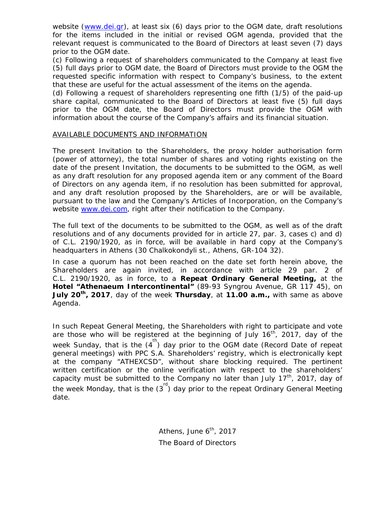website [\(www.dei.gr](http://www.dei.gr/)), at least six (6) days prior to the OGM date, draft resolutions for the items included in the initial or revised OGM agenda, provided that the relevant request is communicated to the Board of Directors at least seven (7) days prior to the OGM date.

(c) Following a request of shareholders communicated to the Company at least five (5) full days prior to OGM date, the Board of Directors must provide to the OGM the requested specific information with respect to Company's business, to the extent that these are useful for the actual assessment of the items on the agenda.

(d) Following a request of shareholders representing one fifth (1/5) of the paid-up share capital, communicated to the Board of Directors at least five (5) full days prior to the OGM date, the Board of Directors must provide the OGM with information about the course of the Company's affairs and its financial situation.

#### AVAILABLE DOCUMENTS AND INFORMATION

The present Invitation to the Shareholders, the proxy holder authorisation form (power of attorney), the total number of shares and voting rights existing on the date of the present Invitation, the documents to be submitted to the OGM, as well as any draft resolution for any proposed agenda item or any comment of the Board of Directors on any agenda item, if no resolution has been submitted for approval, and any draft resolution proposed by the Shareholders, are or will be available, pursuant to the law and the Company's Articles of Incorporation, on the Company's website [www.dei.com,](http://www.dei.com/) right after their notification to the Company.

The full text of the documents to be submitted to the OGM, as well as of the draft resolutions and of any documents provided for in article 27, par. 3, cases c) and d) of C.L. 2190/1920, as in force, will be available in hard copy at the Company's headquarters in Athens (30 Chalkokondyli st., Athens, GR-104 32).

In case a quorum has not been reached on the date set forth herein above, the Shareholders are again invited, in accordance with article 29 par. 2 of C.L. 2190/1920, as in force, to a **Repeat Ordinary General Meeting,** at the **Hotel "Athenaeum Intercontinental"** (89-93 Syngrou Avenue, GR 117 45), on **July 20th, 2017**, day of the week **Thursday**, at **11.00 a.m.,** with same as above Agenda.

In such Repeat General Meeting, the Shareholders with right to participate and vote are those who will be registered at the beginning of July  $16<sup>th</sup>$ , 2017, day of the week Sunday, that is the  $(4^{\text{th}})$  day prior to the OGM date (Record Date of repeat general meetings) with PPC S.A. Shareholders' registry, which is electronically kept at the company "ATHEXCSD", without share blocking required. The pertinent written certification or the online verification with respect to the shareholders' capacity must be submitted to the Company no later than July  $17<sup>th</sup>$ , 2017, day of the week Monday, that is the  $(3^{\text{rd}})$  day prior to the repeat Ordinary General Meeting date.

> Athens, June  $6^{th}$ , 2017 The Board of Directors